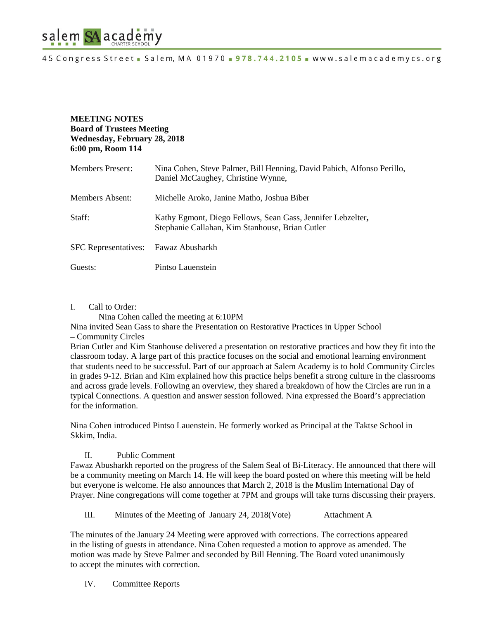

### **MEETING NOTES Board of Trustees Meeting Wednesday, February 28, 2018 6:00 pm, Room 114**

| Members Present:            | Nina Cohen, Steve Palmer, Bill Henning, David Pabich, Alfonso Perillo,<br>Daniel McCaughey, Christine Wynne,   |
|-----------------------------|----------------------------------------------------------------------------------------------------------------|
| Members Absent:             | Michelle Aroko, Janine Matho, Joshua Biber                                                                     |
| Staff:                      | Kathy Egmont, Diego Fellows, Sean Gass, Jennifer Lebzelter,<br>Stephanie Callahan, Kim Stanhouse, Brian Cutler |
| <b>SFC</b> Representatives: | Fawaz Abusharkh                                                                                                |
| Guests:                     | Pintso Lauenstein                                                                                              |

### I. Call to Order:

Nina Cohen called the meeting at 6:10PM

Nina invited Sean Gass to share the Presentation on Restorative Practices in Upper School – Community Circles

Brian Cutler and Kim Stanhouse delivered a presentation on restorative practices and how they fit into the classroom today. A large part of this practice focuses on the social and emotional learning environment that students need to be successful. Part of our approach at Salem Academy is to hold Community Circles in grades 9-12. Brian and Kim explained how this practice helps benefit a strong culture in the classrooms and across grade levels. Following an overview, they shared a breakdown of how the Circles are run in a typical Connections. A question and answer session followed. Nina expressed the Board's appreciation for the information.

Nina Cohen introduced Pintso Lauenstein. He formerly worked as Principal at the Taktse School in Skkim, India.

### II. Public Comment

Fawaz Abusharkh reported on the progress of the Salem Seal of Bi-Literacy. He announced that there will be a community meeting on March 14. He will keep the board posted on where this meeting will be held but everyone is welcome. He also announces that March 2, 2018 is the Muslim International Day of Prayer. Nine congregations will come together at 7PM and groups will take turns discussing their prayers.

III. Minutes of the Meeting of January 24, 2018(Vote) Attachment A

The minutes of the January 24 Meeting were approved with corrections. The corrections appeared in the listing of guests in attendance. Nina Cohen requested a motion to approve as amended. The motion was made by Steve Palmer and seconded by Bill Henning. The Board voted unanimously to accept the minutes with correction.

IV. Committee Reports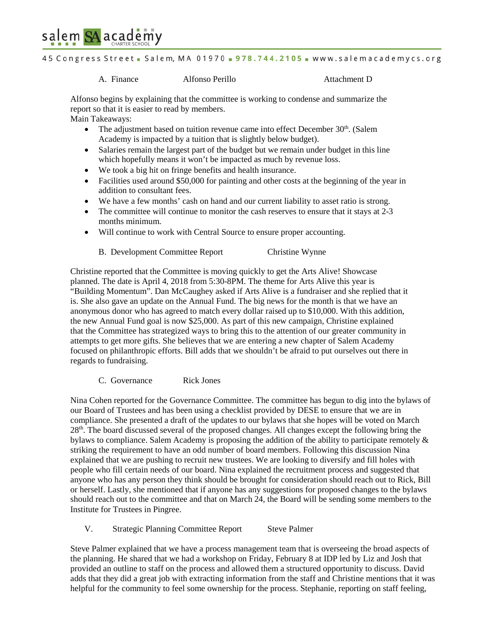

45 Congress Street - Salem, MA 01970 - 978.744.2105 - www.salemacademycs.org

A. Finance Alfonso Perillo Attachment D

Alfonso begins by explaining that the committee is working to condense and summarize the report so that it is easier to read by members.

Main Takeaways:

- The adjustment based on tuition revenue came into effect December  $30<sup>th</sup>$ . (Salem Academy is impacted by a tuition that is slightly below budget).
- Salaries remain the largest part of the budget but we remain under budget in this line which hopefully means it won't be impacted as much by revenue loss.
- We took a big hit on fringe benefits and health insurance.
- Facilities used around \$50,000 for painting and other costs at the beginning of the year in addition to consultant fees.
- We have a few months' cash on hand and our current liability to asset ratio is strong.
- The committee will continue to monitor the cash reserves to ensure that it stays at 2-3 months minimum.
- Will continue to work with Central Source to ensure proper accounting.
	- B. Development Committee Report Christine Wynne

Christine reported that the Committee is moving quickly to get the Arts Alive! Showcase planned. The date is April 4, 2018 from 5:30-8PM. The theme for Arts Alive this year is "Building Momentum". Dan McCaughey asked if Arts Alive is a fundraiser and she replied that it is. She also gave an update on the Annual Fund. The big news for the month is that we have an anonymous donor who has agreed to match every dollar raised up to \$10,000. With this addition, the new Annual Fund goal is now \$25,000. As part of this new campaign, Christine explained that the Committee has strategized ways to bring this to the attention of our greater community in attempts to get more gifts. She believes that we are entering a new chapter of Salem Academy focused on philanthropic efforts. Bill adds that we shouldn't be afraid to put ourselves out there in regards to fundraising.

C. Governance Rick Jones

Nina Cohen reported for the Governance Committee. The committee has begun to dig into the bylaws of our Board of Trustees and has been using a checklist provided by DESE to ensure that we are in compliance. She presented a draft of the updates to our bylaws that she hopes will be voted on March  $28<sup>th</sup>$ . The board discussed several of the proposed changes. All changes except the following bring the bylaws to compliance. Salem Academy is proposing the addition of the ability to participate remotely  $\&$ striking the requirement to have an odd number of board members. Following this discussion Nina explained that we are pushing to recruit new trustees. We are looking to diversify and fill holes with people who fill certain needs of our board. Nina explained the recruitment process and suggested that anyone who has any person they think should be brought for consideration should reach out to Rick, Bill or herself. Lastly, she mentioned that if anyone has any suggestions for proposed changes to the bylaws should reach out to the committee and that on March 24, the Board will be sending some members to the Institute for Trustees in Pingree.

V. Strategic Planning Committee Report Steve Palmer

Steve Palmer explained that we have a process management team that is overseeing the broad aspects of the planning. He shared that we had a workshop on Friday, February 8 at IDP led by Liz and Josh that provided an outline to staff on the process and allowed them a structured opportunity to discuss. David adds that they did a great job with extracting information from the staff and Christine mentions that it was helpful for the community to feel some ownership for the process. Stephanie, reporting on staff feeling,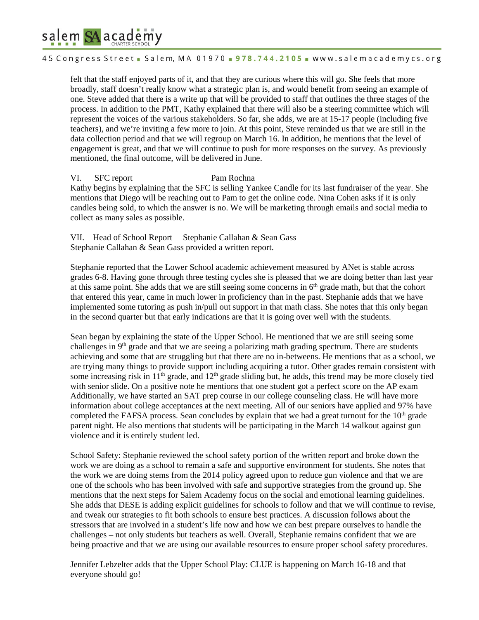# salem SA academy

45 Congress Street - Salem, MA 01970 - 978.744.2105 - www.salemacademycs.org

felt that the staff enjoyed parts of it, and that they are curious where this will go. She feels that more broadly, staff doesn't really know what a strategic plan is, and would benefit from seeing an example of one. Steve added that there is a write up that will be provided to staff that outlines the three stages of the process. In addition to the PMT, Kathy explained that there will also be a steering committee which will represent the voices of the various stakeholders. So far, she adds, we are at 15-17 people (including five teachers), and we're inviting a few more to join. At this point, Steve reminded us that we are still in the data collection period and that we will regroup on March 16. In addition, he mentions that the level of engagement is great, and that we will continue to push for more responses on the survey. As previously mentioned, the final outcome, will be delivered in June.

## VI. SFC report Pam Rochna

Kathy begins by explaining that the SFC is selling Yankee Candle for its last fundraiser of the year. She mentions that Diego will be reaching out to Pam to get the online code. Nina Cohen asks if it is only candles being sold, to which the answer is no. We will be marketing through emails and social media to collect as many sales as possible.

VII. Head of School Report Stephanie Callahan & Sean Gass Stephanie Callahan & Sean Gass provided a written report.

Stephanie reported that the Lower School academic achievement measured by ANet is stable across grades 6-8. Having gone through three testing cycles she is pleased that we are doing better than last year at this same point. She adds that we are still seeing some concerns in  $6<sup>th</sup>$  grade math, but that the cohort that entered this year, came in much lower in proficiency than in the past. Stephanie adds that we have implemented some tutoring as push in/pull out support in that math class. She notes that this only began in the second quarter but that early indications are that it is going over well with the students.

Sean began by explaining the state of the Upper School. He mentioned that we are still seeing some challenges in 9<sup>th</sup> grade and that we are seeing a polarizing math grading spectrum. There are students achieving and some that are struggling but that there are no in-betweens. He mentions that as a school, we are trying many things to provide support including acquiring a tutor. Other grades remain consistent with some increasing risk in  $11<sup>th</sup>$  grade, and  $12<sup>th</sup>$  grade sliding but, he adds, this trend may be more closely tied with senior slide. On a positive note he mentions that one student got a perfect score on the AP exam Additionally, we have started an SAT prep course in our college counseling class. He will have more information about college acceptances at the next meeting. All of our seniors have applied and 97% have completed the FAFSA process. Sean concludes by explain that we had a great turnout for the  $10<sup>th</sup>$  grade parent night. He also mentions that students will be participating in the March 14 walkout against gun violence and it is entirely student led.

School Safety: Stephanie reviewed the school safety portion of the written report and broke down the work we are doing as a school to remain a safe and supportive environment for students. She notes that the work we are doing stems from the 2014 policy agreed upon to reduce gun violence and that we are one of the schools who has been involved with safe and supportive strategies from the ground up. She mentions that the next steps for Salem Academy focus on the social and emotional learning guidelines. She adds that DESE is adding explicit guidelines for schools to follow and that we will continue to revise, and tweak our strategies to fit both schools to ensure best practices. A discussion follows about the stressors that are involved in a student's life now and how we can best prepare ourselves to handle the challenges – not only students but teachers as well. Overall, Stephanie remains confident that we are being proactive and that we are using our available resources to ensure proper school safety procedures.

Jennifer Lebzelter adds that the Upper School Play: CLUE is happening on March 16-18 and that everyone should go!